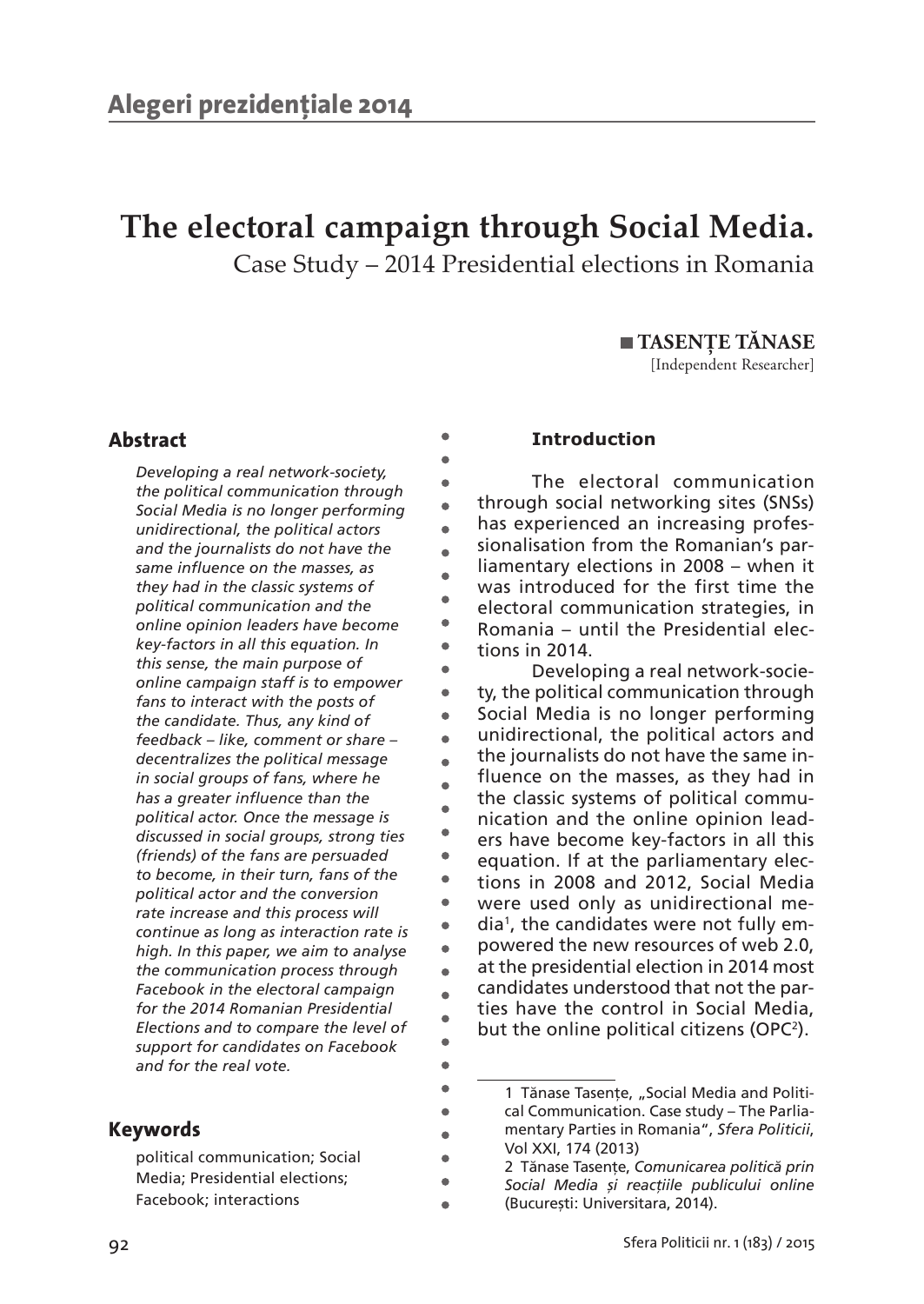# **The electoral campaign through Social Media.**

 $\bullet$  $\bullet$  $\bullet$  $\bullet$  $\Delta$  $\bullet$  $\blacksquare$  $\overline{a}$  $\bullet$  $\blacksquare$ ò  $\bullet$  $\bullet$  $\bullet$  $\bullet$  $\overline{a}$ À  $\bullet$  $\bullet$  $\bullet$  $\blacksquare$  $\bullet$  $\bullet$  $\bullet$  $\blacksquare$  $\bullet$  $\bullet$  $\bullet$  $\bullet$  $\bullet$ Ċ  $\bullet$  $\blacksquare$ 

Case Study – 2014 Presidential elections in Romania

 **TASENȚE TĂNASE**

[Independent Researcher]

# **Abstract**

*Developing a real network-society, the political communication through Social Media is no longer performing unidirectional, the political actors and the journalists do not have the same influence on the masses, as they had in the classic systems of political communication and the online opinion leaders have become key-factors in all this equation. In this sense, the main purpose of online campaign staff is to empower fans to interact with the posts of the candidate. Thus, any kind of feedback – like, comment or share – decentralizes the political message in social groups of fans, where he has a greater influence than the political actor. Once the message is discussed in social groups, strong ties (friends) of the fans are persuaded to become, in their turn, fans of the political actor and the conversion rate increase and this process will continue as long as interaction rate is high. In this paper, we aim to analyse the communication process through Facebook in the electoral campaign for the 2014 Romanian Presidential Elections and to compare the level of support for candidates on Facebook and for the real vote.*

# **Keywords**

political communication; Social Media; Presidential elections; Facebook; interactions

## **Introduction**

The electoral communication through social networking sites (SNSs) has experienced an increasing professionalisation from the Romanian's parliamentary elections in 2008 – when it was introduced for the first time the electoral communication strategies, in Romania – until the Presidential elections in 2014.

Developing a real network-society, the political communication through Social Media is no longer performing unidirectional, the political actors and the journalists do not have the same influence on the masses, as they had in the classic systems of political communication and the online opinion leaders have become key-factors in all this equation. If at the parliamentary elections in 2008 and 2012, Social Media were used only as unidirectional media1 , the candidates were not fully empowered the new resources of web 2.0, at the presidential election in 2014 most candidates understood that not the parties have the control in Social Media, but the online political citizens (OPC<sup>2</sup>).

<sup>1</sup> Tănase Tasențe, "Social Media and Political Communication. Case study – The Parliamentary Parties in Romania", *Sfera Politicii*, Vol XXI, 174 (2013)

<sup>2</sup> Tănase Tasențe, *Comunicarea politică prin Social Media și reacțiile publicului online*  (București: Universitara, 2014).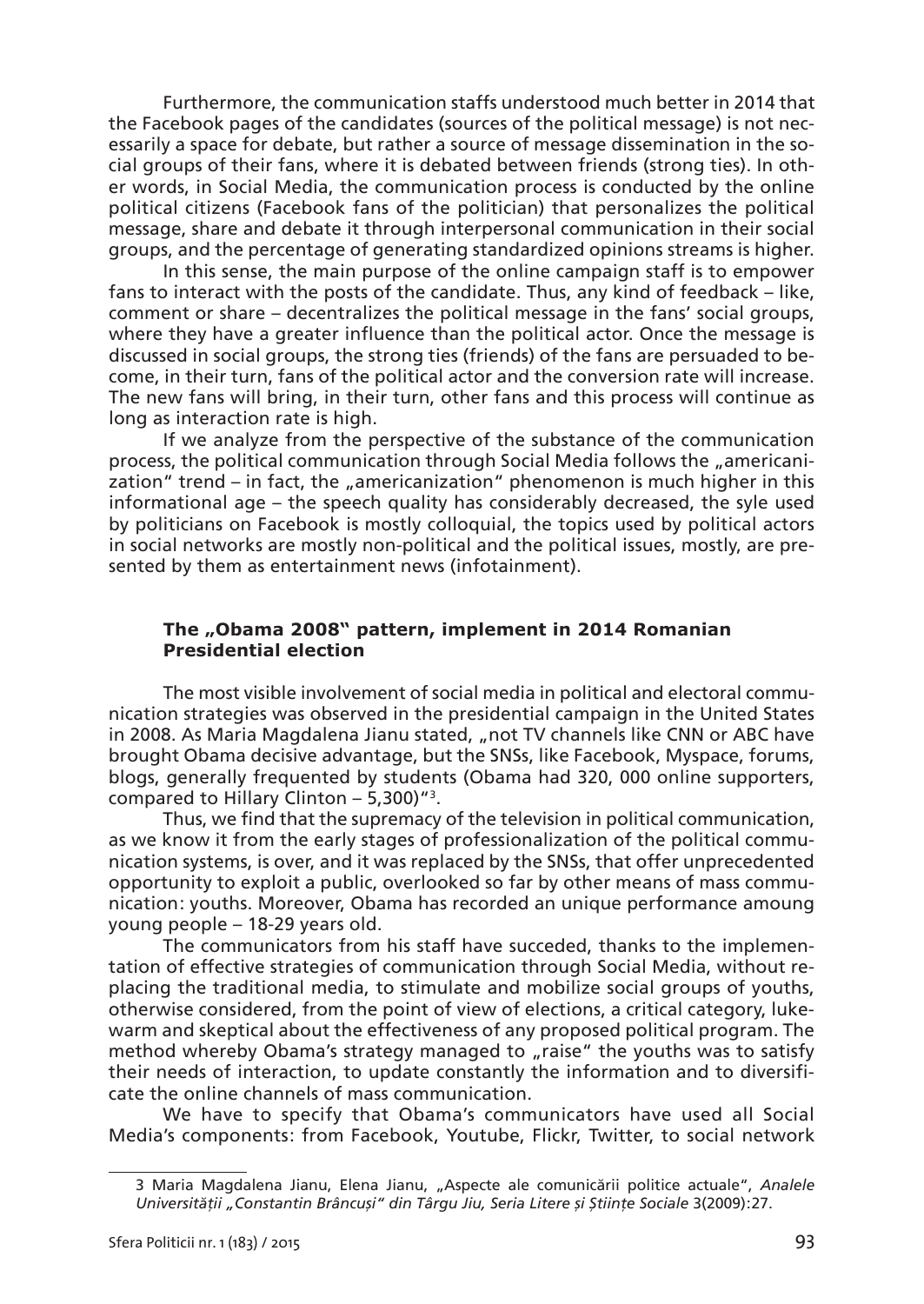Furthermore, the communication staffs understood much better in 2014 that the Facebook pages of the candidates (sources of the political message) is not necessarily a space for debate, but rather a source of message dissemination in the social groups of their fans, where it is debated between friends (strong ties). In other words, in Social Media, the communication process is conducted by the online political citizens (Facebook fans of the politician) that personalizes the political message, share and debate it through interpersonal communication in their social groups, and the percentage of generating standardized opinions streams is higher.

In this sense, the main purpose of the online campaign staff is to empower fans to interact with the posts of the candidate. Thus, any kind of feedback – like, comment or share – decentralizes the political message in the fans' social groups, where they have a greater influence than the political actor. Once the message is discussed in social groups, the strong ties (friends) of the fans are persuaded to become, in their turn, fans of the political actor and the conversion rate will increase. The new fans will bring, in their turn, other fans and this process will continue as long as interaction rate is high.

If we analyze from the perspective of the substance of the communication process, the political communication through Social Media follows the "americanization" trend – in fact, the "americanization" phenomenon is much higher in this informational age – the speech quality has considerably decreased, the syle used by politicians on Facebook is mostly colloquial, the topics used by political actors in social networks are mostly non-political and the political issues, mostly, are presented by them as entertainment news (infotainment).

## The "Obama 2008" pattern, implement in 2014 Romanian **Presidential election**

The most visible involvement of social media in political and electoral communication strategies was observed in the presidential campaign in the United States in 2008. As Maria Magdalena Jianu stated, "not TV channels like CNN or ABC have brought Obama decisive advantage, but the SNSs, like Facebook, Myspace, forums, blogs, generally frequented by students (Obama had 320, 000 online supporters, compared to Hillary Clinton – 5,300)"3 .

Thus, we find that the supremacy of the television in political communication, as we know it from the early stages of professionalization of the political communication systems, is over, and it was replaced by the SNSs, that offer unprecedented opportunity to exploit a public, overlooked so far by other means of mass communication: vouths. Moreover, Obama has recorded an unique performance amoung young people – 18-29 years old.

The communicators from his staff have succeded, thanks to the implementation of effective strategies of communication through Social Media, without replacing the traditional media, to stimulate and mobilize social groups of youths, otherwise considered, from the point of view of elections, a critical category, lukewarm and skeptical about the effectiveness of any proposed political program. The method whereby Obama's strategy managed to "raise" the youths was to satisfy their needs of interaction, to update constantly the information and to diversificate the online channels of mass communication.

We have to specify that Obama's communicators have used all Social Media's components: from Facebook, Youtube, Flickr, Twitter, to social network

<sup>3</sup> Maria Magdalena Jianu, Elena Jianu, "Aspecte ale comunicării politice actuale", *Analele Universității "Constantin Brâncuși" din Târgu Jiu, Seria Litere și Științe Sociale* 3(2009) : 27.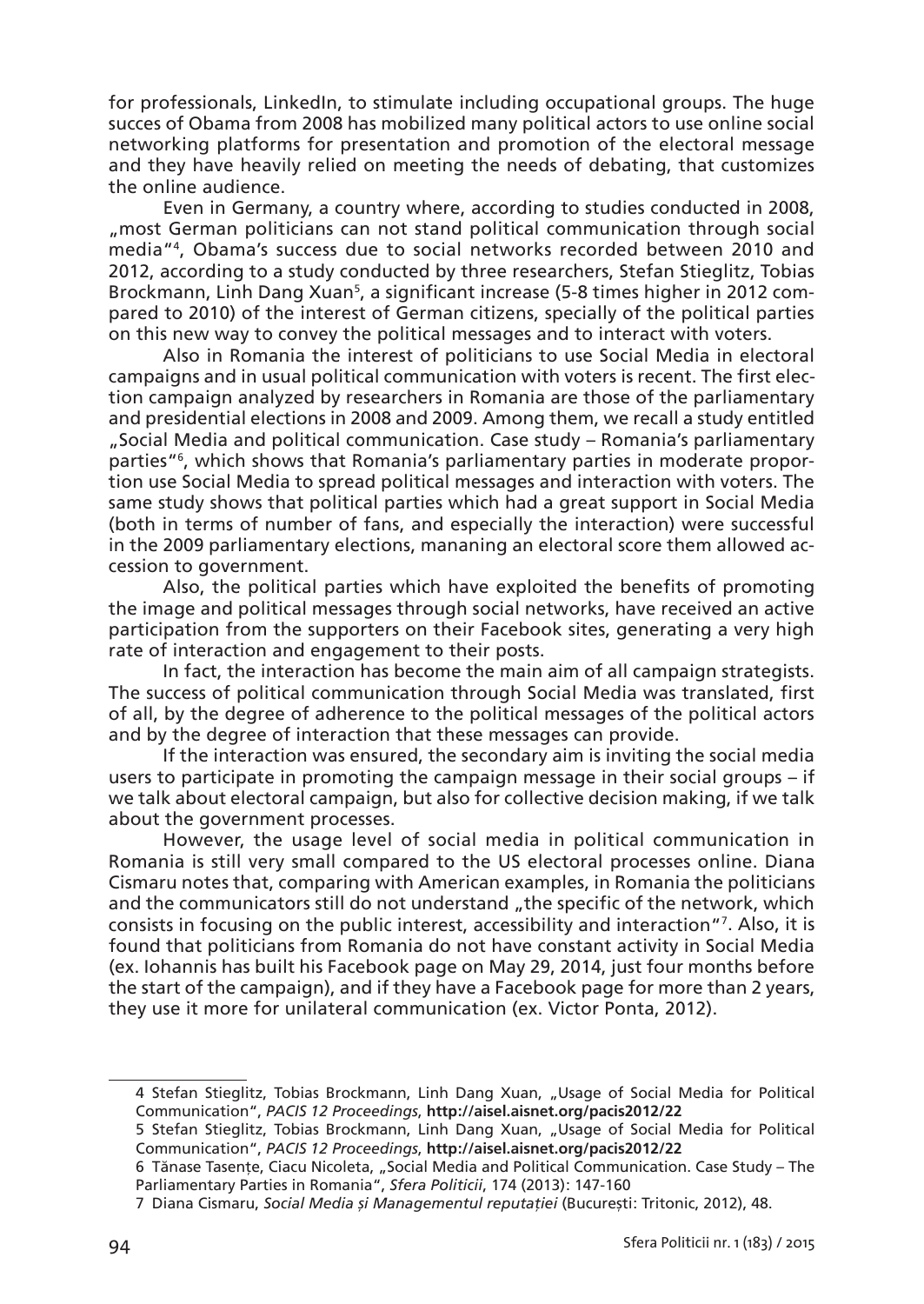for professionals, LinkedIn, to stimulate including occupational groups. The huge succes of Obama from 2008 has mobilized many political actors to use online social networking platforms for presentation and promotion of the electoral message and they have heavily relied on meeting the needs of debating, that customizes the online audience.

Even in Germany, a country where, according to studies conducted in 2008, "most German politicians can not stand political communication through social media"4, Obama's success due to social networks recorded between 2010 and 2012, according to a study conducted by three researchers, Stefan Stieglitz, Tobias Brockmann, Linh Dang Xuan<sup>s</sup>, a significant increase (5-8 times higher in 2012 compared to 2010) of the interest of German citizens, specially of the political parties on this new way to convey the political messages and to interact with voters.

Also in Romania the interest of politicians to use Social Media in electoral campaigns and in usual political communication with voters is recent. The first election campaign analyzed by researchers in Romania are those of the parliamentary and presidential elections in 2008 and 2009. Among them, we recall a study entitled "Social Media and political communication. Case study – Romania's parliamentary parties"6 , which shows that Romania's parliamentary parties in moderate proportion use Social Media to spread political messages and interaction with voters. The same study shows that political parties which had a great support in Social Media (both in terms of number of fans, and especially the interaction) were successful in the 2009 parliamentary elections, mananing an electoral score them allowed accession to government.

Also, the political parties which have exploited the benefits of promoting the image and political messages through social networks, have received an active participation from the supporters on their Facebook sites, generating a very high rate of interaction and engagement to their posts.

In fact, the interaction has become the main aim of all campaign strategists. The success of political communication through Social Media was translated, first of all, by the degree of adherence to the political messages of the political actors and by the degree of interaction that these messages can provide.

If the interaction was ensured, the secondary aim is inviting the social media users to participate in promoting the campaign message in their social groups – if we talk about electoral campaign, but also for collective decision making, if we talk about the government processes.

However, the usage level of social media in political communication in Romania is still very small compared to the US electoral processes online. Diana Cismaru notes that, comparing with American examples, in Romania the politicians and the communicators still do not understand "the specific of the network, which consists in focusing on the public interest, accessibility and interaction"7 . Also, it is found that politicians from Romania do not have constant activity in Social Media (ex. Iohannis has built his Facebook page on May 29, 2014, just four months before the start of the campaign), and if they have a Facebook page for more than 2 years, they use it more for unilateral communication (ex. Victor Ponta, 2012).

<sup>4</sup> Stefan Stieglitz, Tobias Brockmann, Linh Dang Xuan, "Usage of Social Media for Political Communication", *PACIS 12 Proceedings*, **http ://aisel.aisnet.org/pacis2012/22**

<sup>5</sup> Stefan Stieglitz, Tobias Brockmann, Linh Dang Xuan, "Usage of Social Media for Political Communication", *PACIS 12 Proceedings*, **http ://aisel.aisnet.org/pacis2012/22**

<sup>6</sup> Tănase Tasențe, Ciacu Nicoleta, "Social Media and Political Communication. Case Study – The Parliamentary Parties in Romania", *Sfera Politicii*, 174 (2013): 147-160

<sup>7</sup> Diana Cismaru, *Social Media și Managementul reputației* (București : Tritonic, 2012), 48.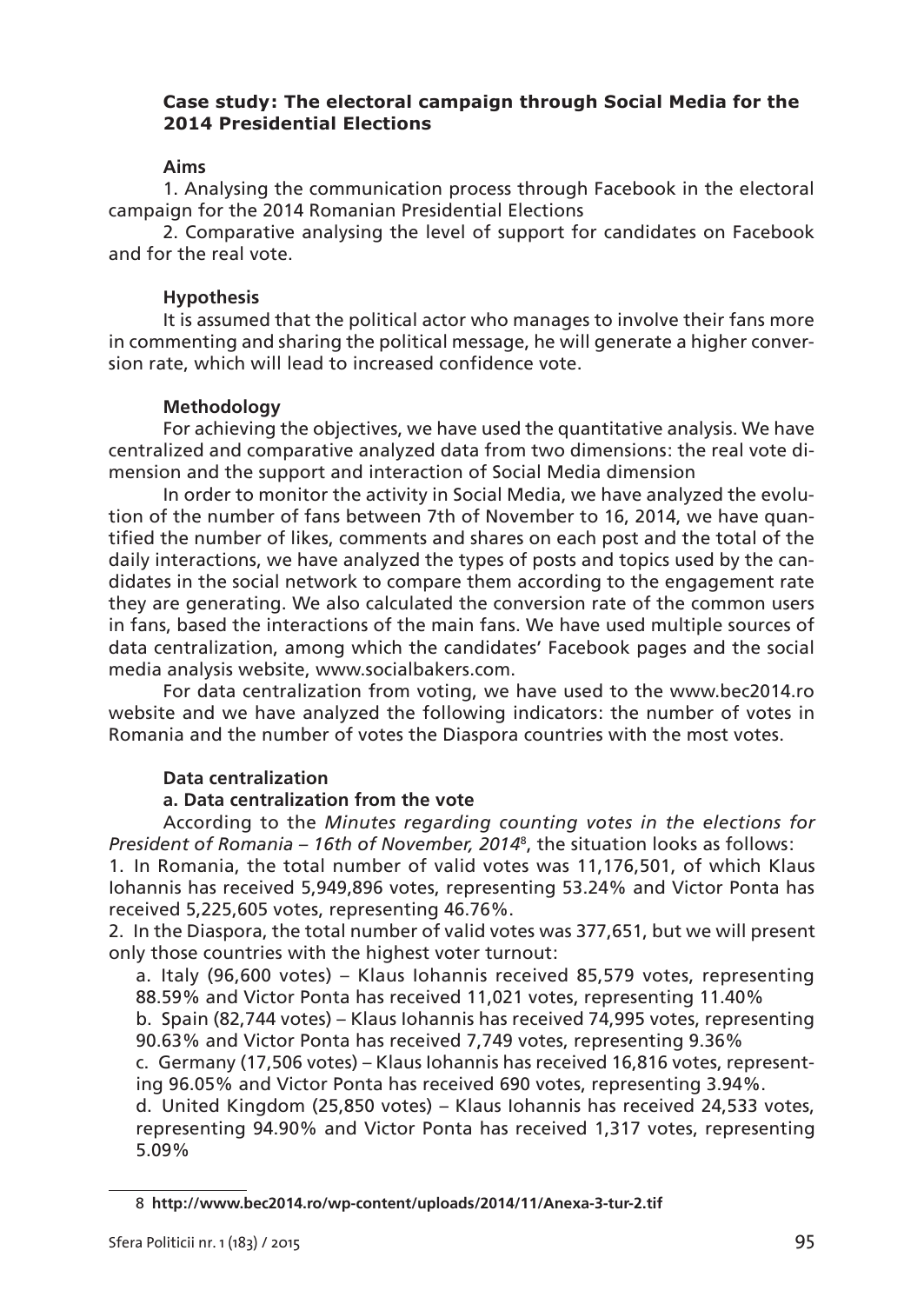# **Case study : The electoral campaign through Social Media for the 2014 Presidential Elections**

## **Aims**

1. Analysing the communication process through Facebook in the electoral campaign for the 2014 Romanian Presidential Elections

2. Comparative analysing the level of support for candidates on Facebook and for the real vote.

## **Hypothesis**

It is assumed that the political actor who manages to involve their fans more in commenting and sharing the political message, he will generate a higher conversion rate, which will lead to increased confidence vote.

## **Methodology**

For achieving the objectives, we have used the quantitative analysis. We have centralized and comparative analyzed data from two dimensions : the real vote dimension and the support and interaction of Social Media dimension

In order to monitor the activity in Social Media, we have analyzed the evolution of the number of fans between 7th of November to 16, 2014, we have quantified the number of likes, comments and shares on each post and the total of the daily interactions, we have analyzed the types of posts and topics used by the candidates in the social network to compare them according to the engagement rate they are generating. We also calculated the conversion rate of the common users in fans, based the interactions of the main fans. We have used multiple sources of data centralization, among which the candidates' Facebook pages and the social media analysis website, www.socialbakers.com.

For data centralization from voting, we have used to the www.bec2014.ro website and we have analyzed the following indicators: the number of votes in Romania and the number of votes the Diaspora countries with the most votes.

## **Data centralization**

# **a. Data centralization from the vote**

According to the *Minutes regarding counting votes in the elections for President of Romania – 16th of November, 2014*<sup>8</sup> , the situation looks as follows :

1. In Romania, the total number of valid votes was 11,176,501, of which Klaus Iohannis has received 5,949,896 votes, representing 53.24% and Victor Ponta has received 5,225,605 votes, representing 46.76%.

2. In the Diaspora, the total number of valid votes was 377,651, but we will present only those countries with the highest voter turnout:

a. Italy (96,600 votes) – Klaus Iohannis received 85,579 votes, representing 88.59% and Victor Ponta has received 11,021 votes, representing 11.40%

b. Spain (82,744 votes) – Klaus Iohannis has received 74,995 votes, representing 90.63% and Victor Ponta has received 7,749 votes, representing 9.36%

c. Germany (17,506 votes) – Klaus Iohannis has received 16,816 votes, representing 96.05% and Victor Ponta has received 690 votes, representing 3.94%.

d. United Kingdom (25,850 votes) – Klaus Iohannis has received 24,533 votes, representing 94.90% and Victor Ponta has received 1,317 votes, representing 5.09%

<sup>8</sup> **http ://www.bec2014.ro/wp-content/uploads/2014/11/Anexa-3-tur-2.tif**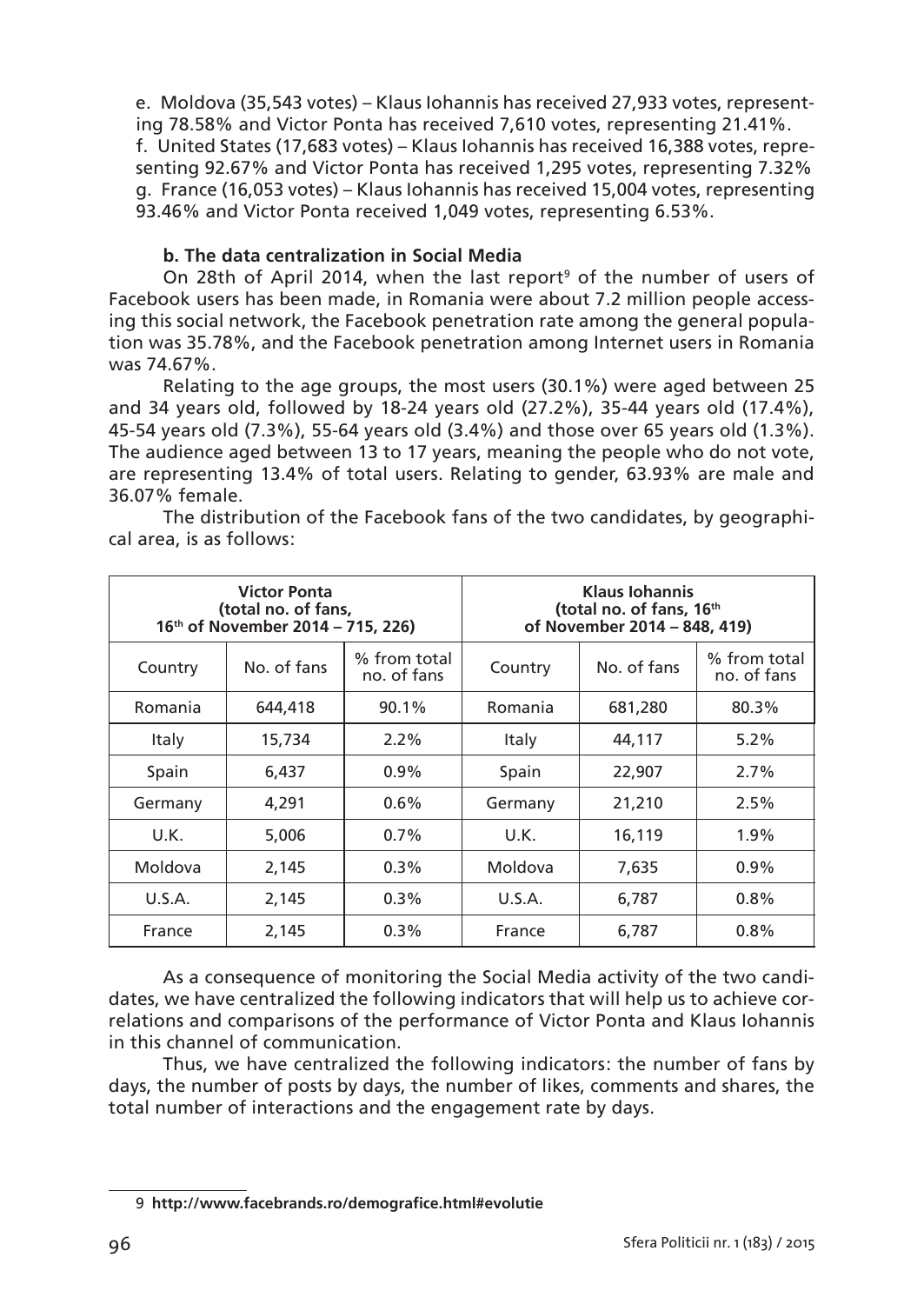e. Moldova (35,543 votes) – Klaus Iohannis has received 27,933 votes, representing 78.58% and Victor Ponta has received 7,610 votes, representing 21.41%. f. United States (17,683 votes) – Klaus Iohannis has received 16,388 votes, representing 92.67% and Victor Ponta has received 1,295 votes, representing 7.32% g. France (16,053 votes) – Klaus Iohannis has received 15,004 votes, representing 93.46% and Victor Ponta received 1,049 votes, representing 6.53%.

# **b. The data centralization in Social Media**

On 28th of April 2014, when the last report<sup>9</sup> of the number of users of Facebook users has been made, in Romania were about 7.2 million people accessing this social network, the Facebook penetration rate among the general population was 35.78%, and the Facebook penetration among Internet users in Romania was 74.67%.

Relating to the age groups, the most users (30.1%) were aged between 25 and 34 years old, followed by 18-24 years old (27.2%), 35-44 years old (17.4%), 45-54 years old (7.3%), 55-64 years old (3.4%) and those over 65 years old (1.3%). The audience aged between 13 to 17 years, meaning the people who do not vote, are representing 13.4% of total users. Relating to gender, 63.93% are male and 36.07% female.

|                            | <b>Victor Ponta</b><br>(total no. of fans,<br>16th of November 2014 - 715, 226) |                             | <b>Klaus Iohannis</b><br>(total no. of fans, 16th<br>of November 2014 - 848, 419) |             |                             |  |  |
|----------------------------|---------------------------------------------------------------------------------|-----------------------------|-----------------------------------------------------------------------------------|-------------|-----------------------------|--|--|
| Country                    | No. of fans                                                                     | % from total<br>no. of fans | Country                                                                           | No. of fans | % from total<br>no. of fans |  |  |
| Romania                    | 644,418<br>90.1%                                                                |                             | Romania                                                                           | 681,280     | 80.3%                       |  |  |
| Italy                      | 15,734                                                                          | $2.2\%$                     |                                                                                   | 44,117      | 5.2%                        |  |  |
| Spain                      | 6.437                                                                           | $0.9\%$                     | Spain                                                                             | 22,907      | 2.7%                        |  |  |
| Germany                    | 4,291                                                                           | $0.6\%$                     |                                                                                   | 21,210      | 2.5%                        |  |  |
| U.K.                       | 5,006                                                                           | $0.7\%$                     | U.K.                                                                              | 16,119      | 1.9%                        |  |  |
| Moldova                    | 2,145                                                                           | $0.3\%$                     | Moldova                                                                           | 7,635       | $0.9\%$                     |  |  |
| U.S.A.                     | 2,145                                                                           | $0.3\%$                     | U.S.A.                                                                            | 6,787       | 0.8%                        |  |  |
| $0.3\%$<br>2,145<br>France |                                                                                 | France                      | 6,787                                                                             | 0.8%        |                             |  |  |

The distribution of the Facebook fans of the two candidates, by geographical area, is as follows :

As a consequence of monitoring the Social Media activity of the two candidates, we have centralized the following indicators that will help us to achieve correlations and comparisons of the performance of Victor Ponta and Klaus Iohannis in this channel of communication.

Thus, we have centralized the following indicators: the number of fans by days, the number of posts by days, the number of likes, comments and shares, the total number of interactions and the engagement rate by days.

<sup>9</sup> **http ://www.facebrands.ro/demografice.html#evolutie**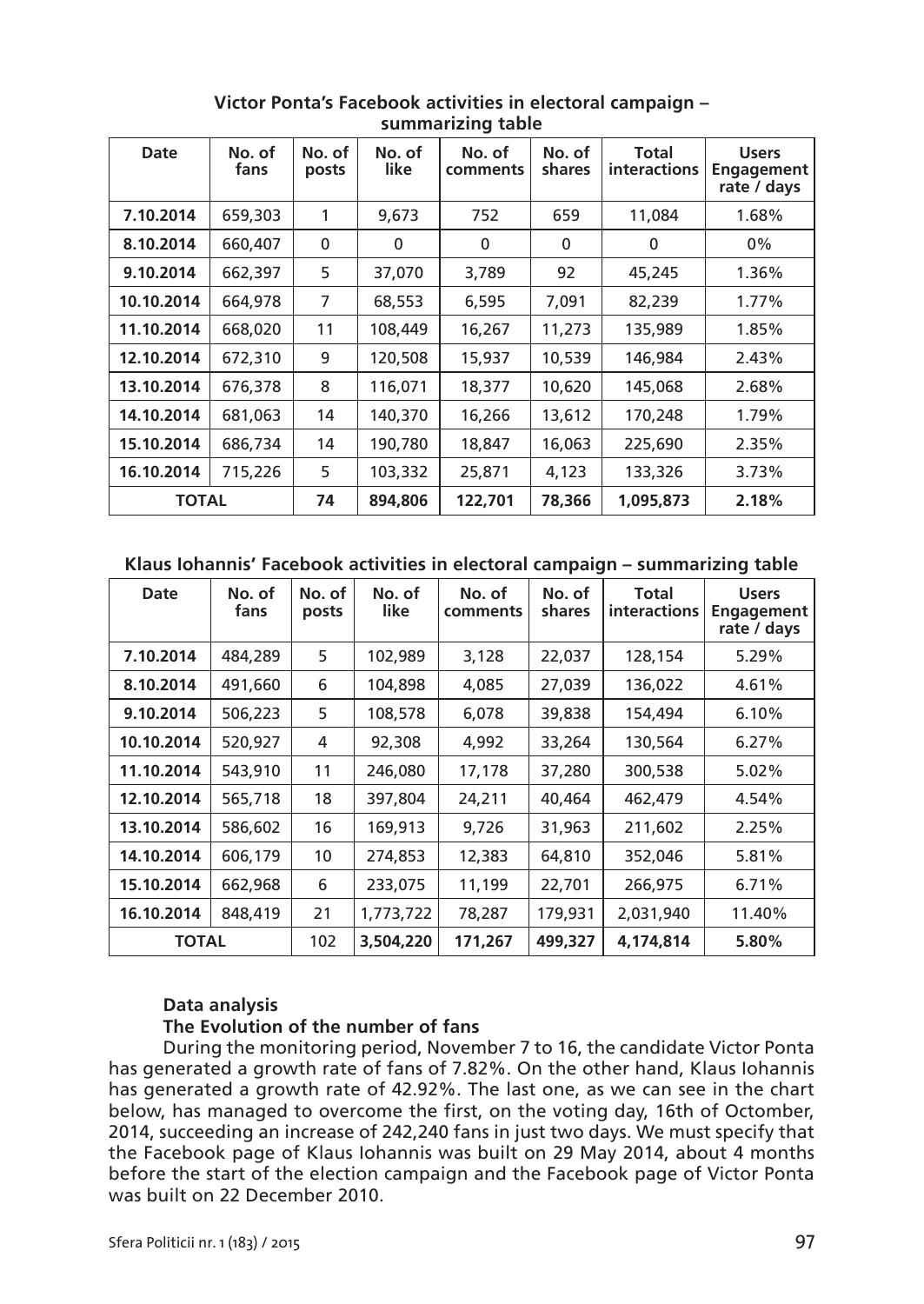| Date         | No. of<br>fans | No. of<br>posts | No. of<br>like | No. of<br>comments | No. of<br>shares | Total<br><b>interactions</b> | <b>Users</b><br>Engagement<br>rate / days |  |
|--------------|----------------|-----------------|----------------|--------------------|------------------|------------------------------|-------------------------------------------|--|
| 7.10.2014    | 659,303        | 1               | 9,673          | 752                | 659              | 11,084                       | 1.68%                                     |  |
| 8.10.2014    | 660,407        | $\mathbf{0}$    | $\mathbf{0}$   | $\mathbf{0}$       | $\mathbf{0}$     | 0                            | 0%                                        |  |
| 9.10.2014    | 662,397        | 5               | 37,070         | 3,789              | 92               | 45,245                       | 1.36%                                     |  |
| 10.10.2014   | 664,978        | 7               | 68,553         | 6,595              | 7,091            | 82,239                       | 1.77%                                     |  |
| 11.10.2014   | 668,020        | 11              | 108,449        | 16,267             | 11,273           | 135,989                      | 1.85%                                     |  |
| 12.10.2014   | 672,310        | 9               | 120,508        | 15,937             | 10,539           | 146,984                      | 2.43%                                     |  |
| 13.10.2014   | 676,378        | 8               | 116,071        | 18,377             | 10,620           | 145,068                      | 2.68%                                     |  |
| 14.10.2014   | 681,063        | 14              | 140,370        | 16,266             | 13,612           | 170,248                      | 1.79%                                     |  |
| 15.10.2014   | 686,734        | 14              | 190,780        | 18,847             | 16,063           | 225,690                      | 2.35%                                     |  |
| 16.10.2014   | 715,226        | 5               | 103,332        | 25,871             | 4,123            | 133,326                      | 3.73%                                     |  |
| <b>TOTAL</b> |                | 74              | 894,806        | 122,701            | 78,366           | 1,095,873                    | 2.18%                                     |  |

**Victor Ponta's Facebook activities in electoral campaign – summarizing table**

**Klaus Iohannis' Facebook activities in electoral campaign – summarizing table**

| Date         | No. of<br>fans | No. of<br>posts | No. of<br>like | No. of<br>comments | No. of<br>shares | Total<br><b>interactions</b> | <b>Users</b><br>Engagement<br>rate / days |
|--------------|----------------|-----------------|----------------|--------------------|------------------|------------------------------|-------------------------------------------|
| 7.10.2014    | 484,289        | 5               | 102,989        | 3,128              | 22,037           | 128,154                      | 5.29%                                     |
| 8.10.2014    | 491,660        | 6               | 104,898        | 4,085              | 27,039           | 136,022                      | 4.61%                                     |
| 9.10.2014    | 506,223        | 5               | 108,578        | 6,078              | 39,838           | 154,494                      | 6.10%                                     |
| 10.10.2014   | 520,927        | 4               | 92,308         | 4,992              | 33,264           | 130,564                      | 6.27%                                     |
| 11.10.2014   | 543,910        | 11              | 246,080        | 17,178             | 37,280           | 300,538                      | 5.02%                                     |
| 12.10.2014   | 565,718        | 18              | 397,804        | 24,211             | 40,464           | 462,479                      | 4.54%                                     |
| 13.10.2014   | 586,602        | 16              | 169,913        | 9,726              | 31,963           | 211,602                      | 2.25%                                     |
| 14.10.2014   | 606,179        | 10              | 274,853        | 12,383             | 64,810           | 352,046                      | 5.81%                                     |
| 15.10.2014   | 662,968        | 6               | 233,075        | 11,199             | 22,701           | 266,975                      | 6.71%                                     |
| 16.10.2014   | 848,419        | 21              | 1,773,722      | 78,287             | 179,931          | 2,031,940                    | 11.40%                                    |
| <b>TOTAL</b> |                | 102             | 3,504,220      | 171,267            | 499,327          | 4,174,814                    | 5.80%                                     |

# **Data analysis**

## **The Evolution of the number of fans**

During the monitoring period, November 7 to 16, the candidate Victor Ponta has generated a growth rate of fans of 7.82%. On the other hand, Klaus Iohannis has generated a growth rate of 42.92%. The last one, as we can see in the chart below, has managed to overcome the first, on the voting day, 16th of Octomber, 2014, succeeding an increase of 242,240 fans in just two days. We must specify that the Facebook page of Klaus Iohannis was built on 29 May 2014, about 4 months before the start of the election campaign and the Facebook page of Victor Ponta was built on 22 December 2010.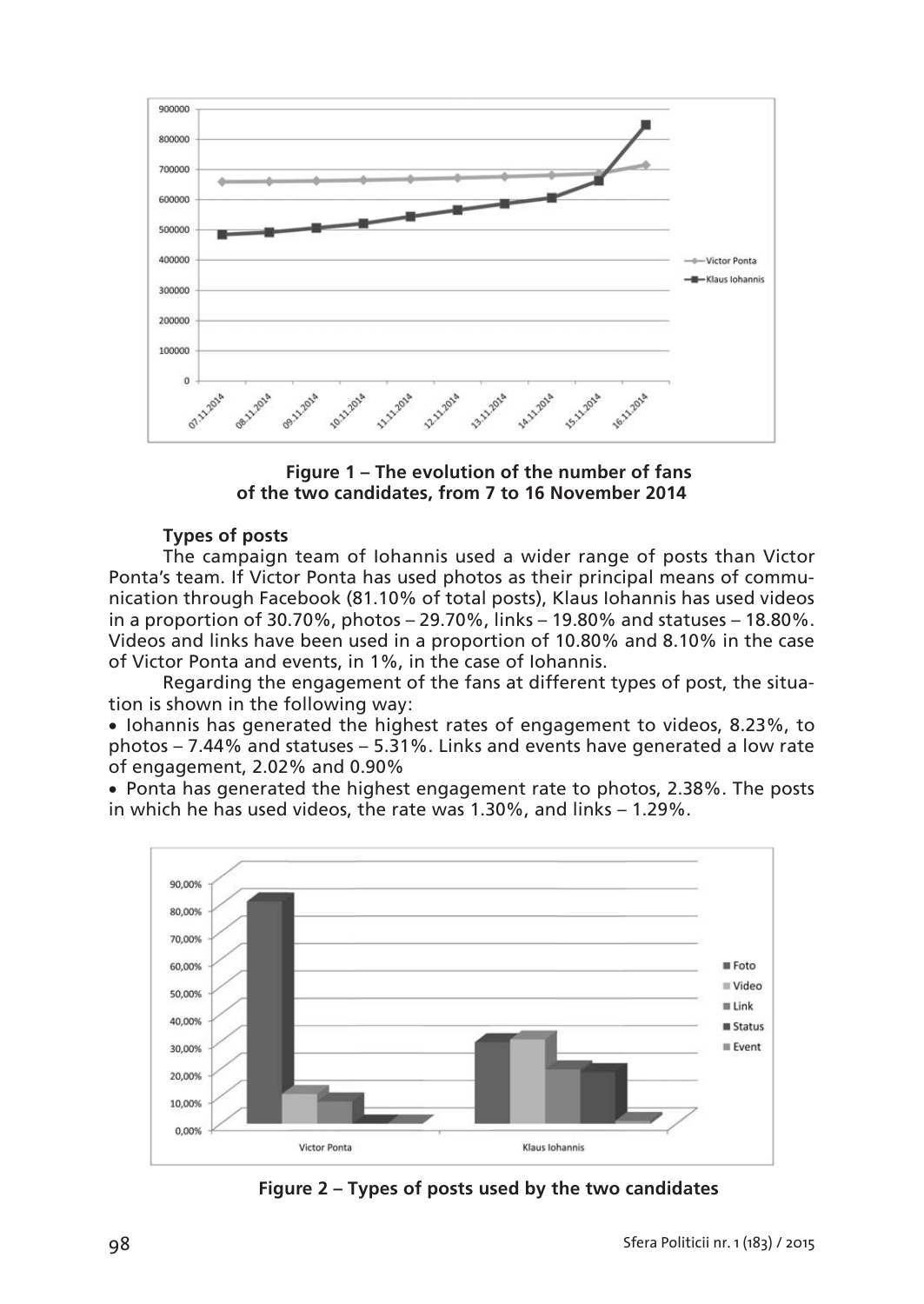

**Figure 1 – The evolution of the number of fans of the two candidates, from 7 to 16 November 2014**

# **Types of posts**

The campaign team of Iohannis used a wider range of posts than Victor Ponta's team. If Victor Ponta has used photos as their principal means of communication through Facebook (81.10% of total posts), Klaus Iohannis has used videos in a proportion of 30.70%, photos – 29.70%, links – 19.80% and statuses – 18.80%. Videos and links have been used in a proportion of 10.80% and 8.10% in the case of Victor Ponta and events, in 1%, in the case of Iohannis.

Regarding the engagement of the fans at different types of post, the situation is shown in the following way:

• Iohannis has generated the highest rates of engagement to videos, 8.23%, to photos – 7.44% and statuses – 5.31%. Links and events have generated a low rate of engagement, 2.02% and 0.90%

 Ponta has generated the highest engagement rate to photos, 2.38%. The posts in which he has used videos, the rate was 1.30%, and links – 1.29%.



**Figure 2 – Types of posts used by the two candidates**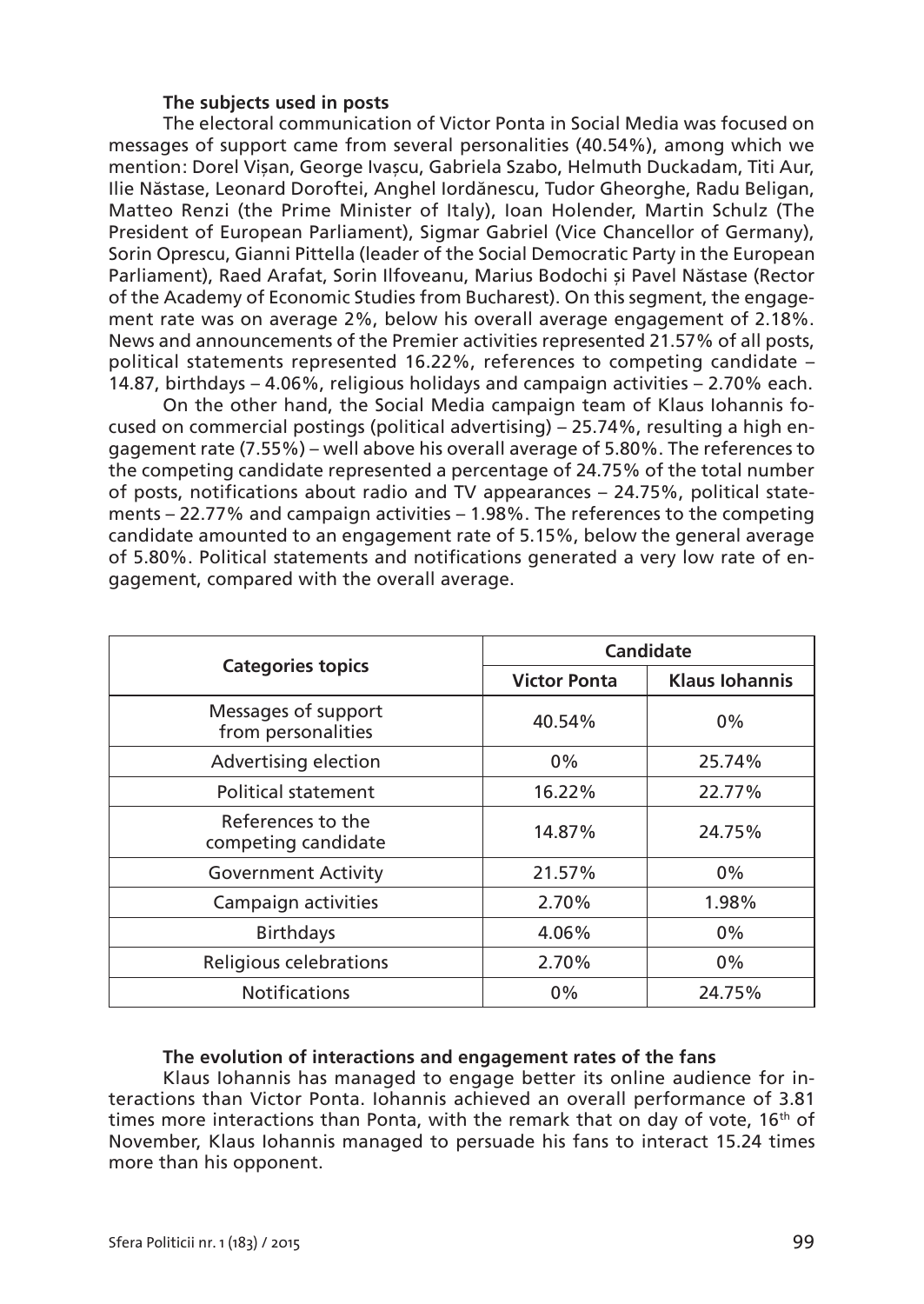## **The subjects used in posts**

The electoral communication of Victor Ponta in Social Media was focused on messages of support came from several personalities (40.54%), among which we mention : Dorel Vișan, George Ivașcu, Gabriela Szabo, Helmuth Duckadam, Titi Aur, Ilie Năstase, Leonard Doroftei, Anghel Iordănescu, Tudor Gheorghe, Radu Beligan, Matteo Renzi (the Prime Minister of Italy), Ioan Holender, Martin Schulz (The President of European Parliament), Sigmar Gabriel (Vice Chancellor of Germany), Sorin Oprescu, Gianni Pittella (leader of the Social Democratic Party in the European Parliament), Raed Arafat, Sorin Ilfoveanu, Marius Bodochi și Pavel Năstase (Rector of the Academy of Economic Studies from Bucharest). On this segment, the engagement rate was on average 2%, below his overall average engagement of 2.18%. News and announcements of the Premier activities represented 21.57% of all posts, political statements represented 16.22%, references to competing candidate – 14.87, birthdays – 4.06%, religious holidays and campaign activities – 2.70% each.

On the other hand, the Social Media campaign team of Klaus Iohannis focused on commercial postings (political advertising) – 25.74%, resulting a high engagement rate (7.55%) – well above his overall average of 5.80%. The references to the competing candidate represented a percentage of 24.75% of the total number of posts, notifications about radio and TV appearances – 24.75%, political statements – 22.77% and campaign activities – 1.98%. The references to the competing candidate amounted to an engagement rate of 5.15%, below the general average of 5.80%. Political statements and notifications generated a very low rate of engagement, compared with the overall average.

|                                           | Candidate           |                       |  |  |  |
|-------------------------------------------|---------------------|-----------------------|--|--|--|
| <b>Categories topics</b>                  | <b>Victor Ponta</b> | <b>Klaus Iohannis</b> |  |  |  |
| Messages of support<br>from personalities | 40.54%              | $0\%$                 |  |  |  |
| Advertising election                      | $0\%$               | 25.74%                |  |  |  |
| Political statement                       | 16.22%              | 22.77%                |  |  |  |
| References to the<br>competing candidate  | 14.87%              | 24.75%                |  |  |  |
| <b>Government Activity</b>                | 21.57%              | $0\%$                 |  |  |  |
| Campaign activities                       | 2.70%               | 1.98%                 |  |  |  |
| <b>Birthdays</b>                          | 4.06%               | $0\%$                 |  |  |  |
| Religious celebrations                    | 2.70%               | $0\%$                 |  |  |  |
| <b>Notifications</b>                      | $0\%$               | 24.75%                |  |  |  |

## **The evolution of interactions and engagement rates of the fans**

Klaus Iohannis has managed to engage better its online audience for interactions than Victor Ponta. Iohannis achieved an overall performance of 3.81 times more interactions than Ponta, with the remark that on day of vote,  $16<sup>th</sup>$  of November, Klaus Iohannis managed to persuade his fans to interact 15.24 times more than his opponent.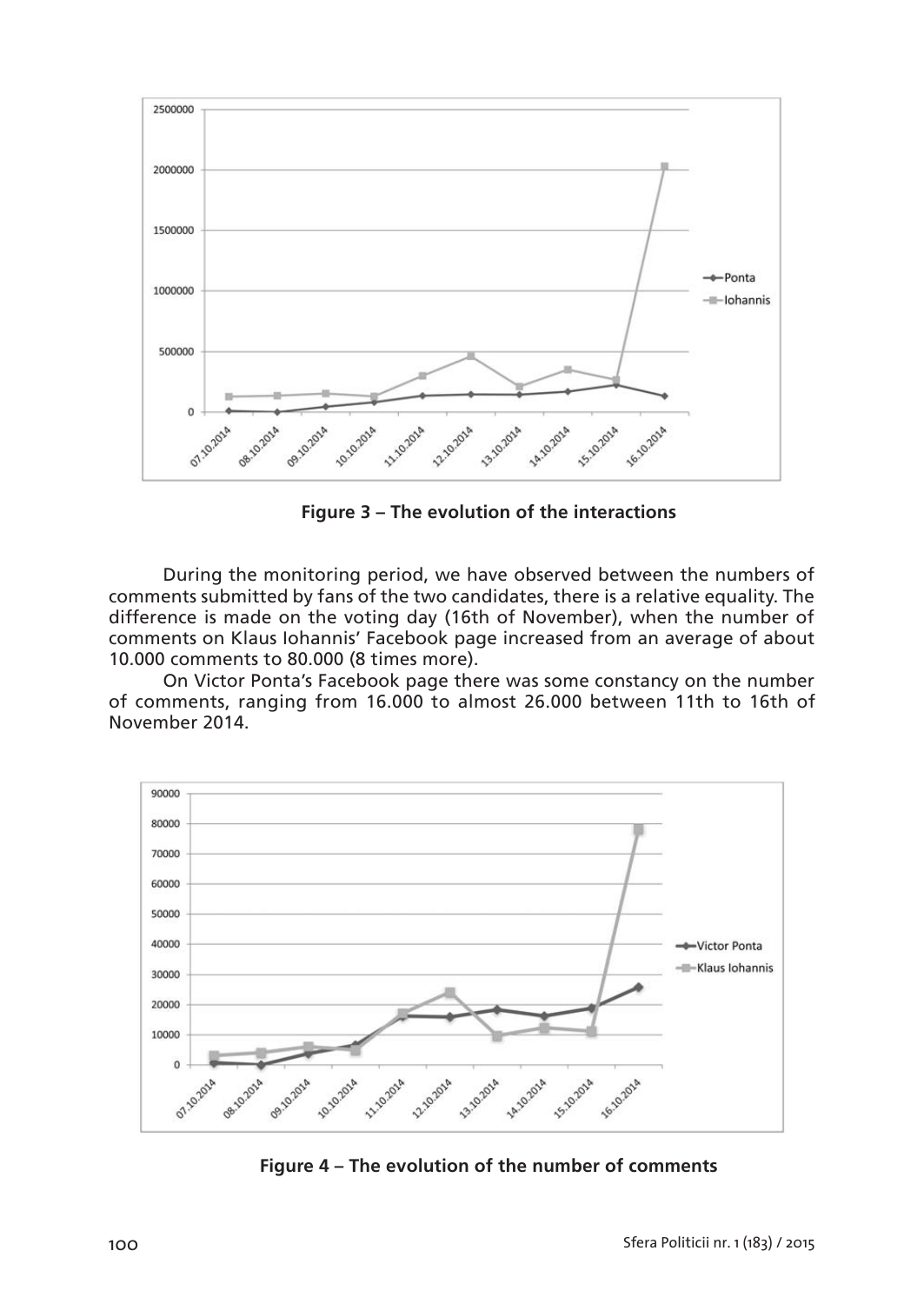

**Figure 3 – The evolution of the interactions**

During the monitoring period, we have observed between the numbers of comments submitted by fans of the two candidates, there is a relative equality. The difference is made on the voting day (16th of November), when the number of comments on Klaus Iohannis' Facebook page increased from an average of about 10.000 comments to 80.000 (8 times more).

On Victor Ponta's Facebook page there was some constancy on the number of comments, ranging from 16.000 to almost 26.000 between 11th to 16th of November 2014.



**Figure 4 – The evolution of the number of comments**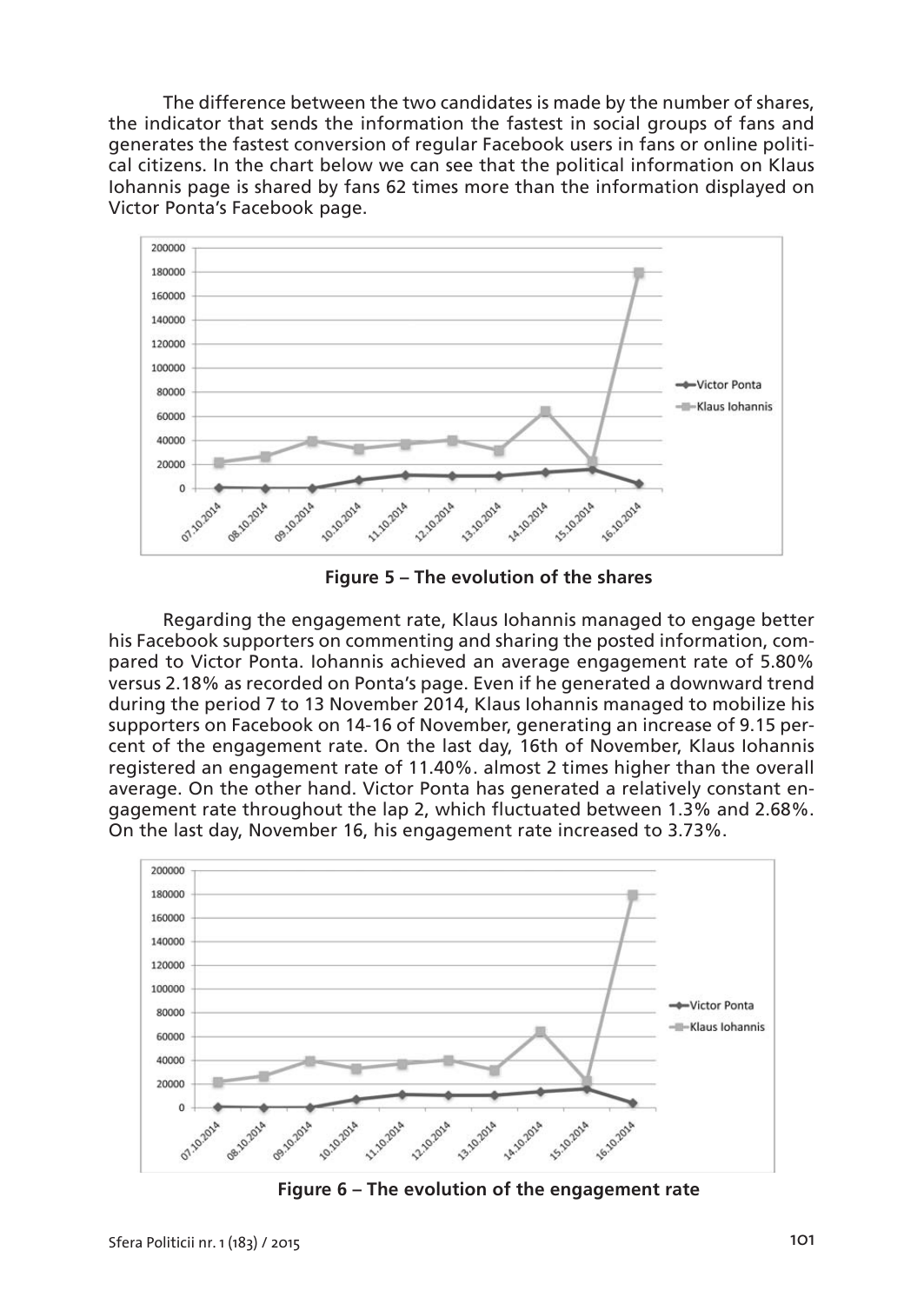The difference between the two candidates is made by the number of shares, the indicator that sends the information the fastest in social groups of fans and generates the fastest conversion of regular Facebook users in fans or online political citizens. In the chart below we can see that the political information on Klaus Iohannis page is shared by fans 62 times more than the information displayed on Victor Ponta's Facebook page.



**Figure 5 – The evolution of the shares**

Regarding the engagement rate, Klaus Iohannis managed to engage better his Facebook supporters on commenting and sharing the posted information, compared to Victor Ponta. Iohannis achieved an average engagement rate of 5.80% versus 2.18% as recorded on Ponta's page. Even if he generated a downward trend during the period 7 to 13 November 2014, Klaus Iohannis managed to mobilize his supporters on Facebook on 14-16 of November, generating an increase of 9.15 percent of the engagement rate. On the last day, 16th of November, Klaus Iohannis registered an engagement rate of 11.40%. almost 2 times higher than the overall average. On the other hand. Victor Ponta has generated a relatively constant engagement rate throughout the lap 2, which fluctuated between 1.3% and 2.68%. On the last day, November 16, his engagement rate increased to 3.73%.



**Figure 6 – The evolution of the engagement rate**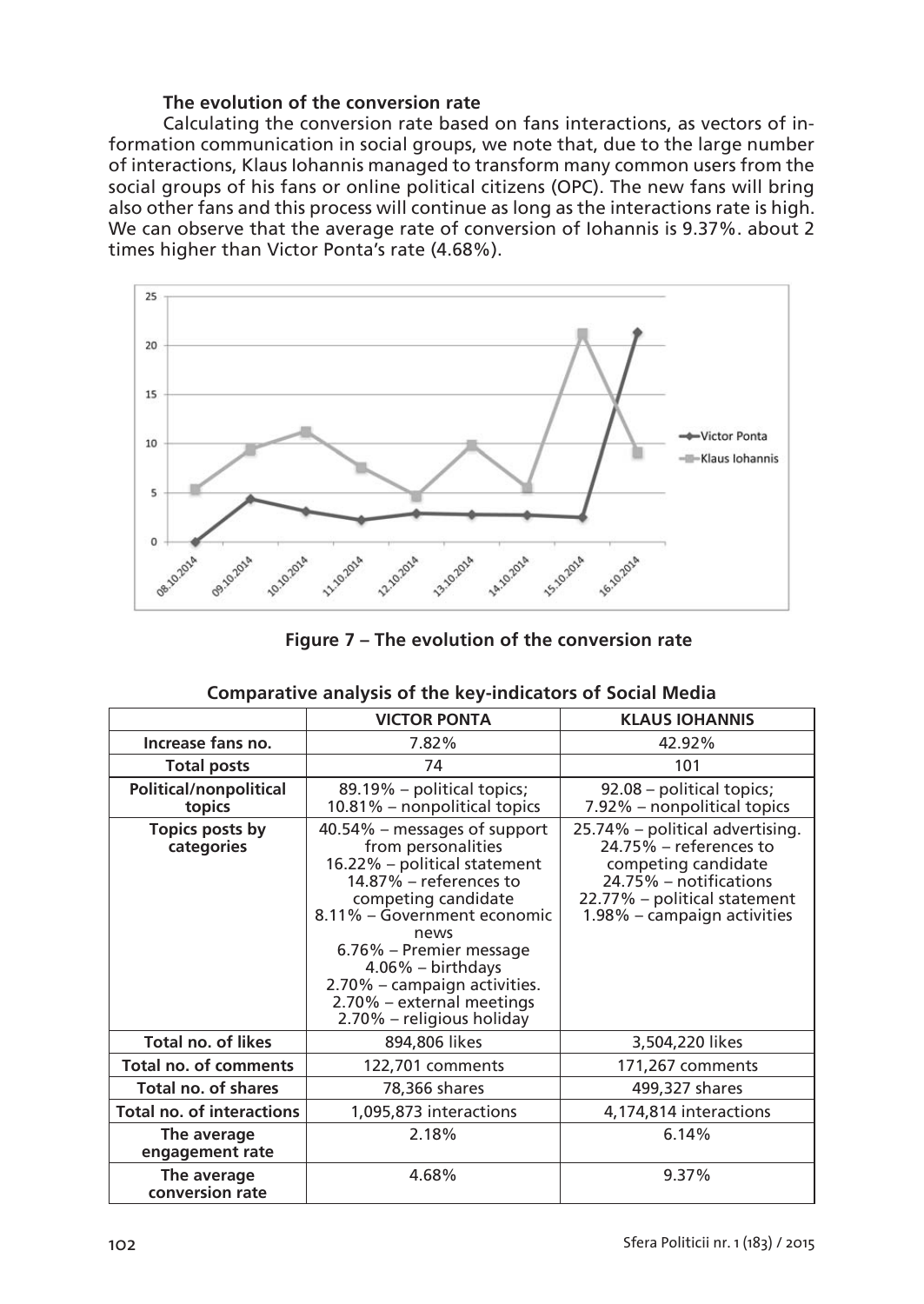# **The evolution of the conversion rate**

Calculating the conversion rate based on fans interactions, as vectors of information communication in social groups, we note that, due to the large number of interactions, Klaus Iohannis managed to transform many common users from the social groups of his fans or online political citizens (OPC). The new fans will bring also other fans and this process will continue as long as the interactions rate is high. We can observe that the average rate of conversion of Iohannis is 9.37%. about 2 times higher than Victor Ponta's rate (4.68%).



**Figure 7 – The evolution of the conversion rate**

|                                  | <b>VICTOR PONTA</b>                                                                                                                                                                                                                                                                                                     | <b>KLAUS IOHANNIS</b>                                                                                                                                                        |  |  |  |
|----------------------------------|-------------------------------------------------------------------------------------------------------------------------------------------------------------------------------------------------------------------------------------------------------------------------------------------------------------------------|------------------------------------------------------------------------------------------------------------------------------------------------------------------------------|--|--|--|
| Increase fans no.                | 7.82%                                                                                                                                                                                                                                                                                                                   | 42.92%                                                                                                                                                                       |  |  |  |
| <b>Total posts</b>               | 74                                                                                                                                                                                                                                                                                                                      | 101                                                                                                                                                                          |  |  |  |
| Political/nonpolitical<br>topics | 89.19% - political topics;<br>10.81% – nonpolitical topics                                                                                                                                                                                                                                                              | 92.08 – political topics;<br>7.92% – nonpolitical topics                                                                                                                     |  |  |  |
| Topics posts by<br>categories    | 40.54% – messages of support<br>from personalities<br>16.22% - political statement<br>14.87% – references to<br>competing candidate<br>8.11% – Government economic<br>news<br>6.76% – Premier message<br>$4.06\%$ – birthdays<br>2.70% - campaign activities.<br>2.70% – external meetings<br>2.70% – religious holiday | 25.74% – political advertising.<br>$24.75\%$ – references to<br>competing candidate<br>24.75% – notifications<br>22.77% – political statement<br>1.98% – campaign activities |  |  |  |
| <b>Total no. of likes</b>        | 894,806 likes                                                                                                                                                                                                                                                                                                           | 3,504,220 likes                                                                                                                                                              |  |  |  |
| <b>Total no. of comments</b>     | 122,701 comments                                                                                                                                                                                                                                                                                                        | 171,267 comments                                                                                                                                                             |  |  |  |
| Total no. of shares              | 78,366 shares                                                                                                                                                                                                                                                                                                           | 499,327 shares                                                                                                                                                               |  |  |  |
| <b>Total no. of interactions</b> | 1,095,873 interactions                                                                                                                                                                                                                                                                                                  | 4,174,814 interactions                                                                                                                                                       |  |  |  |
| The average<br>engagement rate   | 2.18%                                                                                                                                                                                                                                                                                                                   | 6.14%                                                                                                                                                                        |  |  |  |
| The average<br>conversion rate   | 4.68%                                                                                                                                                                                                                                                                                                                   | 9.37%                                                                                                                                                                        |  |  |  |

# **Comparative analysis of the key-indicators of Social Media**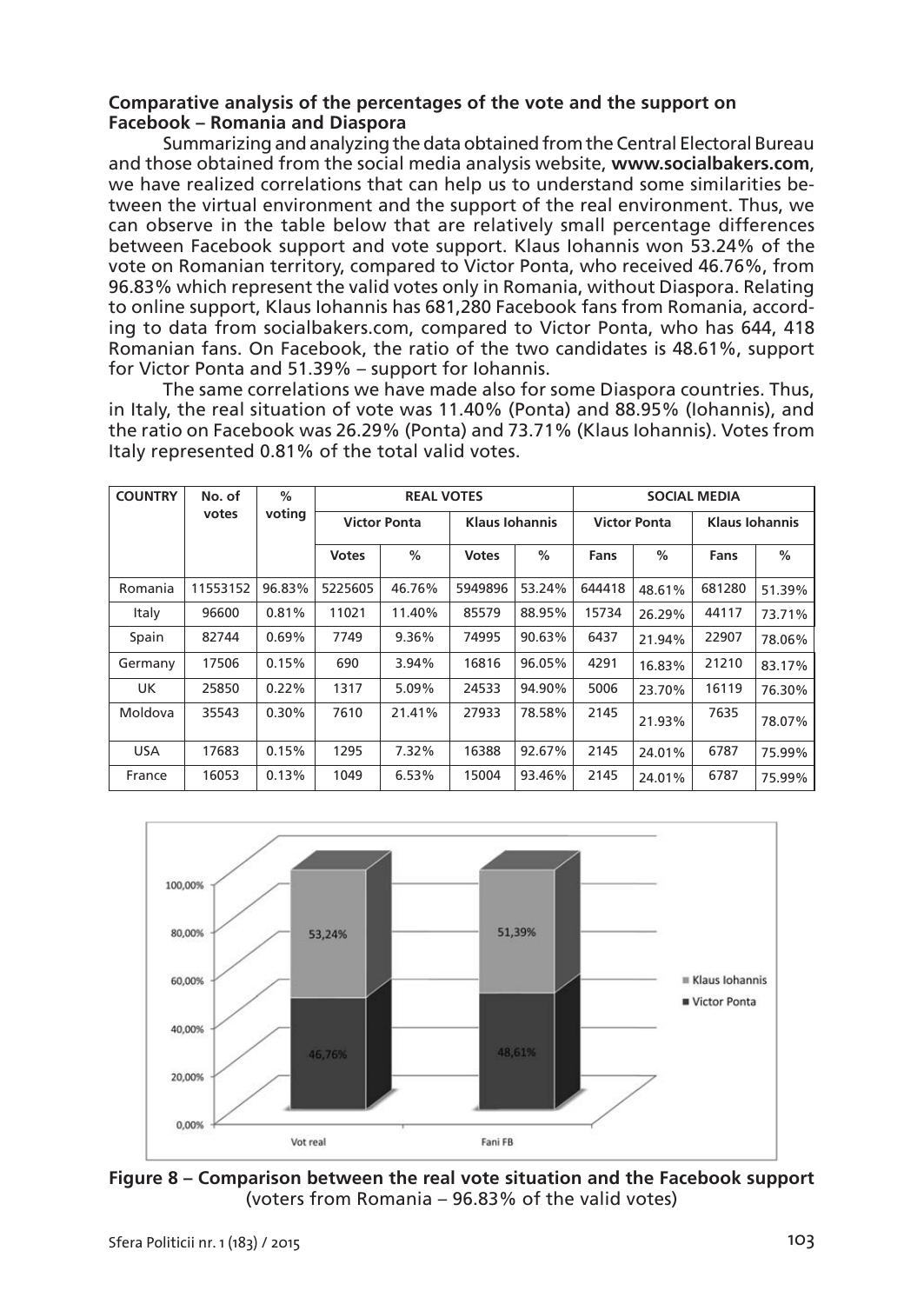## **Comparative analysis of the percentages of the vote and the support on Facebook – Romania and Diaspora**

Summarizing and analyzing the data obtained from the Central Electoral Bureau and those obtained from the social media analysis website, **www.socialbakers.com**, we have realized correlations that can help us to understand some similarities between the virtual environment and the support of the real environment. Thus, we can observe in the table below that are relatively small percentage differences between Facebook support and vote support. Klaus Iohannis won 53.24% of the vote on Romanian territory, compared to Victor Ponta, who received 46.76%, from 96.83% which represent the valid votes only in Romania, without Diaspora. Relating to online support, Klaus Iohannis has 681,280 Facebook fans from Romania, according to data from socialbakers.com, compared to Victor Ponta, who has 644, 418 Romanian fans. On Facebook, the ratio of the two candidates is 48.61%, support for Victor Ponta and 51.39% – support for Iohannis.

The same correlations we have made also for some Diaspora countries. Thus, in Italy, the real situation of vote was 11.40% (Ponta) and 88.95% (Iohannis), and the ratio on Facebook was 26.29% (Ponta) and 73.71% (Klaus Iohannis). Votes from Italy represented 0.81% of the total valid votes.

| <b>COUNTRY</b> | No. of   | %      |                     |        | <b>REAL VOTES</b>     |        | SOCIAL MEDIA        |        |                       |        |
|----------------|----------|--------|---------------------|--------|-----------------------|--------|---------------------|--------|-----------------------|--------|
|                | votes    | voting | <b>Victor Ponta</b> |        | <b>Klaus Iohannis</b> |        | <b>Victor Ponta</b> |        | <b>Klaus Iohannis</b> |        |
|                |          |        | <b>Votes</b>        | %      | <b>Votes</b>          | %      | Fans                | %      | Fans                  | %      |
| Romania        | 11553152 | 96.83% | 5225605             | 46.76% | 5949896               | 53.24% | 644418              | 48.61% | 681280                | 51.39% |
| Italy          | 96600    | 0.81%  | 11021               | 11.40% | 85579                 | 88.95% | 15734               | 26.29% | 44117                 | 73.71% |
| Spain          | 82744    | 0.69%  | 7749                | 9.36%  | 74995                 | 90.63% | 6437                | 21.94% | 22907                 | 78.06% |
| Germany        | 17506    | 0.15%  | 690                 | 3.94%  | 16816                 | 96.05% | 4291                | 16.83% | 21210                 | 83.17% |
| UK.            | 25850    | 0.22%  | 1317                | 5.09%  | 24533                 | 94.90% | 5006                | 23.70% | 16119                 | 76.30% |
| Moldova        | 35543    | 0.30%  | 7610                | 21.41% | 27933                 | 78.58% | 2145                | 21.93% | 7635                  | 78.07% |
| USA            | 17683    | 0.15%  | 1295                | 7.32%  | 16388                 | 92.67% | 2145                | 24.01% | 6787                  | 75.99% |
| France         | 16053    | 0.13%  | 1049                | 6.53%  | 15004                 | 93.46% | 2145                | 24.01% | 6787                  | 75.99% |